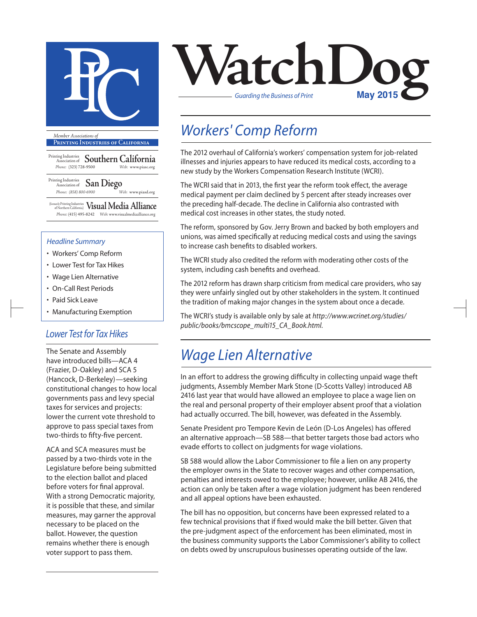

**Printing Industries of California**

Printing Industries Association of **Southern California** *Phone:* (323) 728-9500 *Web:* www.piasc.org

Printing Industries Association of **San Diego** *Phone: (858) 800-6900 Web:* www.piasd.org

(formerly Printing Industries of Northern California) **Visual Media Alliance** *Phone:* (415) 495-8242 *Web:* www.visualmediaalliance.org

#### *Headline Summary*

- Workers' Comp Reform
- Lower Test for Tax Hikes
- Wage Lien Alternative
- On-Call Rest Periods
- Paid Sick Leave
- Manufacturing Exemption

### *Lower Test for Tax Hikes*

The Senate and Assembly have introduced bills—ACA 4 (Frazier, D-Oakley) and SCA 5 (Hancock, D-Berkeley)—seeking constitutional changes to how local governments pass and levy special taxes for services and projects: lower the current vote threshold to approve to pass special taxes from two-thirds to fifty-five percent.

ACA and SCA measures must be passed by a two-thirds vote in the Legislature before being submitted to the election ballot and placed before voters for final approval. With a strong Democratic majority, it is possible that these, and similar measures, may garner the approval necessary to be placed on the ballot. However, the question remains whether there is enough voter support to pass them.



## *Workers' Comp Reform*

The 2012 overhaul of California's workers' compensation system for job-related illnesses and injuries appears to have reduced its medical costs, according to a new study by the Workers Compensation Research Institute (WCRI).

The WCRI said that in 2013, the first year the reform took effect, the average medical payment per claim declined by 5 percent after steady increases over the preceding half-decade. The decline in California also contrasted with medical cost increases in other states, the study noted.

The reform, sponsored by Gov. Jerry Brown and backed by both employers and unions, was aimed specifically at reducing medical costs and using the savings to increase cash benefits to disabled workers.

The WCRI study also credited the reform with moderating other costs of the system, including cash benefits and overhead.

The 2012 reform has drawn sharp criticism from medical care providers, who say they were unfairly singled out by other stakeholders in the system. It continued the tradition of making major changes in the system about once a decade.

The WCRI's study is available only by sale at *http://www.wcrinet.org/studies/ public/books/bmcscope\_multi15\_CA\_Book.html.*

### *Wage Lien Alternative*

In an effort to address the growing difficulty in collecting unpaid wage theft judgments, Assembly Member Mark Stone (D-Scotts Valley) introduced AB 2416 last year that would have allowed an employee to place a wage lien on the real and personal property of their employer absent proof that a violation had actually occurred. The bill, however, was defeated in the Assembly.

Senate President pro Tempore Kevin de León (D-Los Angeles) has offered an alternative approach—SB 588—that better targets those bad actors who evade efforts to collect on judgments for wage violations.

SB 588 would allow the Labor Commissioner to file a lien on any property the employer owns in the State to recover wages and other compensation, penalties and interests owed to the employee; however, unlike AB 2416, the action can only be taken after a wage violation judgment has been rendered and all appeal options have been exhausted.

The bill has no opposition, but concerns have been expressed related to a few technical provisions that if fixed would make the bill better. Given that the pre-judgment aspect of the enforcement has been eliminated, most in the business community supports the Labor Commissioner's ability to collect on debts owed by unscrupulous businesses operating outside of the law.